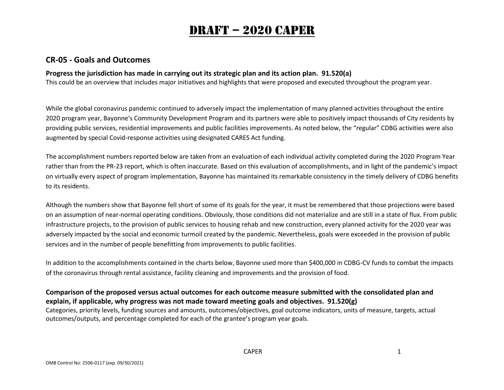# Draft – 2020 caper

### **CR-05 - Goals and Outcomes**

#### **Progress the jurisdiction has made in carrying out its strategic plan and its action plan. 91.520(a)**

This could be an overview that includes major initiatives and highlights that were proposed and executed throughout the program year.

While the global coronavirus pandemic continued to adversely impact the implementation of many planned activities throughout the entire 2020 program year, Bayonne's Community Development Program and its partners were able to positively impact thousands of City residents by providing public services, residential improvements and public facilities improvements. As noted below, the "regular" CDBG activities were also augmented by special Covid-response activities using designated CARES Act funding.

The accomplishment numbers reported below are taken from an evaluation of each individual activity completed during the 2020 Program Year rather than from the PR-23 report, which is often inaccurate. Based on this evaluation of accomplishments, and in light of the pandemic's impact on virtually every aspect of program implementation, Bayonne has maintained its remarkable consistency in the timely delivery of CDBG benefits to its residents.

Although the numbers show that Bayonne fell short of some of its goals for the year, it must be remembered that those projections were based on an assumption of near-normal operating conditions. Obviously, those conditions did not materialize and are still in a state of flux. From public infrastructure projects, to the provision of public services to housing rehab and new construction, every planned activity for the 2020 year was adversely impacted by the social and economic turmoil created by the pandemic. Nevertheless, goals were exceeded in the provision of public services and in the number of people benefitting from improvements to public facilities.

In addition to the accomplishments contained in the charts below, Bayonne used more than \$400,000 in CDBG-CV funds to combat the impacts of the coronavirus through rental assistance, facility cleaning and improvements and the provision of food.

### **Comparison of the proposed versus actual outcomes for each outcome measure submitted with the consolidated plan and explain, if applicable, why progress was not made toward meeting goals and objectives. 91.520(g)**

Categories, priority levels, funding sources and amounts, outcomes/objectives, goal outcome indicators, units of measure, targets, actual outcomes/outputs, and percentage completed for each of the grantee's program year goals.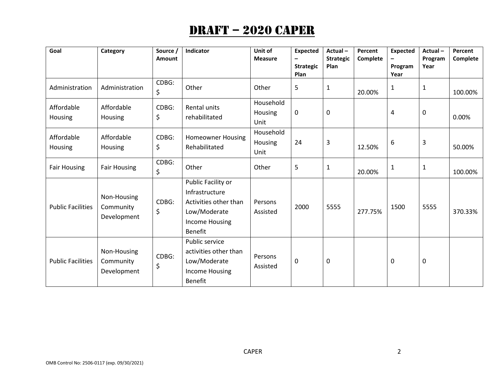| Goal                     | Category                                | Source /<br>Amount | Indicator                                                                                                                | Unit of<br><b>Measure</b>    | <b>Expected</b><br><b>Strategic</b><br>Plan | Actual-<br><b>Strategic</b><br>Plan | Percent<br>Complete | <b>Expected</b><br>Program<br>Year | Actual-<br>Program<br>Year | Percent<br>Complete |
|--------------------------|-----------------------------------------|--------------------|--------------------------------------------------------------------------------------------------------------------------|------------------------------|---------------------------------------------|-------------------------------------|---------------------|------------------------------------|----------------------------|---------------------|
| Administration           | Administration                          | CDBG:<br>\$        | Other                                                                                                                    | Other                        | 5                                           | $\mathbf{1}$                        | 20.00%              | $\mathbf{1}$                       | $\mathbf{1}$               | 100.00%             |
| Affordable<br>Housing    | Affordable<br>Housing                   | CDBG:<br>\$        | Rental units<br>rehabilitated                                                                                            | Household<br>Housing<br>Unit | $\mathbf 0$                                 | 0                                   |                     | $\pmb{4}$                          | $\mathbf 0$                | 0.00%               |
| Affordable<br>Housing    | Affordable<br>Housing                   | CDBG:<br>\$        | <b>Homeowner Housing</b><br>Rehabilitated                                                                                | Household<br>Housing<br>Unit | 24                                          | 3                                   | 12.50%              | 6                                  | 3                          | 50.00%              |
| <b>Fair Housing</b>      | <b>Fair Housing</b>                     | CDBG:<br>\$        | Other                                                                                                                    | Other                        | 5                                           | $\mathbf{1}$                        | 20.00%              | $\mathbf{1}$                       | $\mathbf{1}$               | 100.00%             |
| <b>Public Facilities</b> | Non-Housing<br>Community<br>Development | CDBG:<br>\$        | Public Facility or<br>Infrastructure<br>Activities other than<br>Low/Moderate<br><b>Income Housing</b><br><b>Benefit</b> | Persons<br>Assisted          | 2000                                        | 5555                                | 277.75%             | 1500                               | 5555                       | 370.33%             |
| <b>Public Facilities</b> | Non-Housing<br>Community<br>Development | CDBG:<br>\$        | Public service<br>activities other than<br>Low/Moderate<br><b>Income Housing</b><br>Benefit                              | Persons<br>Assisted          | 0                                           | 0                                   |                     | $\mathbf 0$                        | $\mathbf 0$                |                     |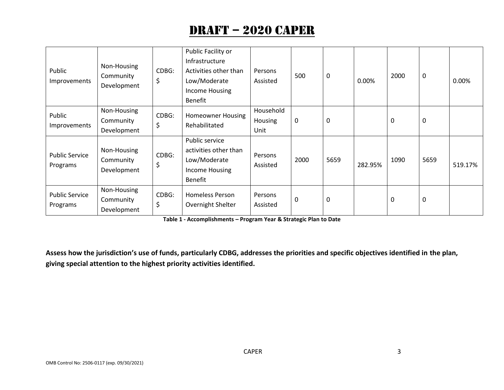| Public<br>Improvements            | Non-Housing<br>Community<br>Development | CDBG:<br>\$ | Public Facility or<br>Infrastructure<br>Activities other than<br>Low/Moderate<br>Income Housing<br><b>Benefit</b> | Persons<br>Assisted          | 500       | $\mathbf 0$ | 0.00%   | 2000     | 0                | 0.00%   |
|-----------------------------------|-----------------------------------------|-------------|-------------------------------------------------------------------------------------------------------------------|------------------------------|-----------|-------------|---------|----------|------------------|---------|
| Public<br>Improvements            | Non-Housing<br>Community<br>Development | CDBG:<br>\$ | <b>Homeowner Housing</b><br>Rehabilitated                                                                         | Household<br>Housing<br>Unit | $\pmb{0}$ | 0           |         | 0        | $\boldsymbol{0}$ |         |
| <b>Public Service</b><br>Programs | Non-Housing<br>Community<br>Development | CDBG:<br>\$ | Public service<br>activities other than<br>Low/Moderate<br>Income Housing<br>Benefit                              | Persons<br>Assisted          | 2000      | 5659        | 282.95% | 1090     | 5659             | 519.17% |
| <b>Public Service</b><br>Programs | Non-Housing<br>Community<br>Development | CDBG:<br>\$ | <b>Homeless Person</b><br>Overnight Shelter                                                                       | Persons<br>Assisted          | 0         | 0           |         | $\Omega$ | 0                |         |

**Table 1 - Accomplishments – Program Year & Strategic Plan to Date**

**Assess how the jurisdiction's use of funds, particularly CDBG, addresses the priorities and specific objectives identified in the plan, giving special attention to the highest priority activities identified.**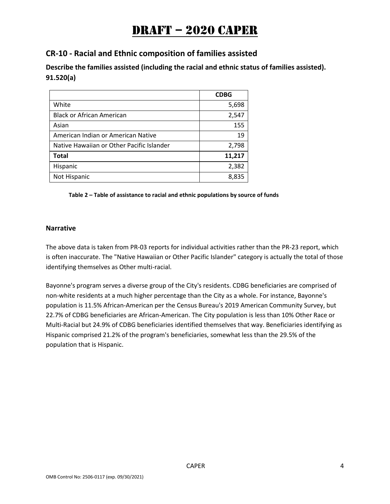## **CR-10 - Racial and Ethnic composition of families assisted**

**Describe the families assisted (including the racial and ethnic status of families assisted). 91.520(a)** 

|                                           | <b>CDBG</b> |
|-------------------------------------------|-------------|
| White                                     | 5,698       |
| <b>Black or African American</b>          | 2,547       |
| Asian                                     | 155         |
| American Indian or American Native        | 19          |
| Native Hawaiian or Other Pacific Islander | 2,798       |
| <b>Total</b>                              | 11,217      |
| Hispanic                                  | 2,382       |
| Not Hispanic                              | 8,835       |

#### **Table 2 – Table of assistance to racial and ethnic populations by source of funds**

#### **Narrative**

The above data is taken from PR-03 reports for individual activities rather than the PR-23 report, which is often inaccurate. The "Native Hawaiian or Other Pacific Islander" category is actually the total of those identifying themselves as Other multi-racial.

Bayonne's program serves a diverse group of the City's residents. CDBG beneficiaries are comprised of non-white residents at a much higher percentage than the City as a whole. For instance, Bayonne's population is 11.5% African-American per the Census Bureau's 2019 American Community Survey, but 22.7% of CDBG beneficiaries are African-American. The City population is less than 10% Other Race or Multi-Racial but 24.9% of CDBG beneficiaries identified themselves that way. Beneficiaries identifying as Hispanic comprised 21.2% of the program's beneficiaries, somewhat less than the 29.5% of the population that is Hispanic.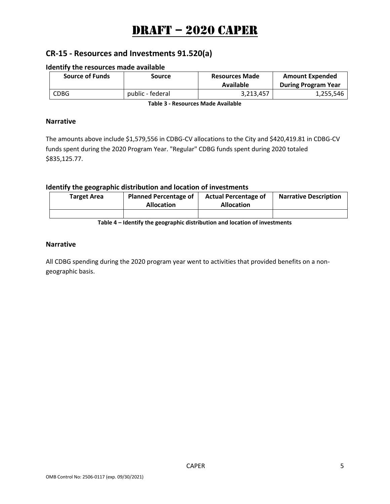## **CR-15 - Resources and Investments 91.520(a)**

#### **Identify the resources made available**

| <b>Source of Funds</b> | Source           | <b>Resources Made</b><br>Available | <b>Amount Expended</b><br><b>During Program Year</b> |  |
|------------------------|------------------|------------------------------------|------------------------------------------------------|--|
| CDBG                   | public - federal | 3,213,457                          | 1,255,546                                            |  |

**Table 3 - Resources Made Available**

#### **Narrative**

The amounts above include \$1,579,556 in CDBG-CV allocations to the City and \$420,419.81 in CDBG-CV funds spent during the 2020 Program Year. "Regular" CDBG funds spent during 2020 totaled \$835,125.77.

#### **Identify the geographic distribution and location of investments**

| <b>Target Area</b> | <b>Planned Percentage of</b><br><b>Allocation</b> | <b>Actual Percentage of</b><br><b>Allocation</b> | <b>Narrative Description</b> |
|--------------------|---------------------------------------------------|--------------------------------------------------|------------------------------|
|                    |                                                   |                                                  |                              |

**Table 4 – Identify the geographic distribution and location of investments**

#### **Narrative**

All CDBG spending during the 2020 program year went to activities that provided benefits on a nongeographic basis.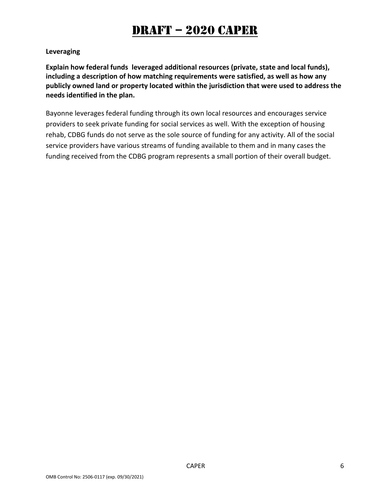### **Leveraging**

**Explain how federal funds leveraged additional resources (private, state and local funds), including a description of how matching requirements were satisfied, as well as how any publicly owned land or property located within the jurisdiction that were used to address the needs identified in the plan.**

Bayonne leverages federal funding through its own local resources and encourages service providers to seek private funding for social services as well. With the exception of housing rehab, CDBG funds do not serve as the sole source of funding for any activity. All of the social service providers have various streams of funding available to them and in many cases the funding received from the CDBG program represents a small portion of their overall budget.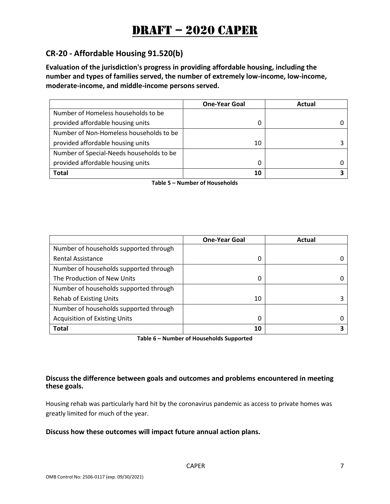## **CR-20 - Affordable Housing 91.520(b)**

**Evaluation of the jurisdiction's progress in providing affordable housing, including the number and types of families served, the number of extremely low-income, low-income, moderate-income, and middle-income persons served.**

|                                          | <b>One-Year Goal</b> | Actual |
|------------------------------------------|----------------------|--------|
| Number of Homeless households to be      |                      |        |
| provided affordable housing units        |                      |        |
| Number of Non-Homeless households to be  |                      |        |
| provided affordable housing units        | 10                   |        |
| Number of Special-Needs households to be |                      |        |
| provided affordable housing units        | 0                    |        |
| Total                                    | 10                   |        |

**Table 5 – Number of Households**

|                                        | <b>One-Year Goal</b> | Actual |
|----------------------------------------|----------------------|--------|
| Number of households supported through |                      |        |
| Rental Assistance                      | 0                    |        |
| Number of households supported through |                      |        |
| The Production of New Units            | 0                    |        |
| Number of households supported through |                      |        |
| <b>Rehab of Existing Units</b>         | 10                   |        |
| Number of households supported through |                      |        |
| <b>Acquisition of Existing Units</b>   | 0                    |        |
| <b>Total</b>                           | 10                   |        |

**Table 6 – Number of Households Supported**

#### **Discuss the difference between goals and outcomes and problems encountered in meeting these goals.**

Housing rehab was particularly hard hit by the coronavirus pandemic as access to private homes was greatly limited for much of the year.

#### **Discuss how these outcomes will impact future annual action plans.**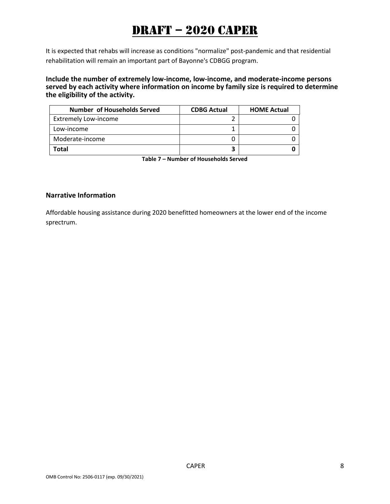It is expected that rehabs will increase as conditions "normalize" post-pandemic and that residential rehabilitation will remain an important part of Bayonne's CDBGG program.

**Include the number of extremely low-income, low-income, and moderate-income persons served by each activity where information on income by family size is required to determine the eligibility of the activity.**

| <b>Number of Households Served</b> | <b>CDBG Actual</b> | <b>HOME Actual</b> |
|------------------------------------|--------------------|--------------------|
| <b>Extremely Low-income</b>        |                    |                    |
| Low-income                         |                    |                    |
| Moderate-income                    |                    |                    |
| Total                              |                    |                    |

**Table 7 – Number of Households Served**

#### **Narrative Information**

Affordable housing assistance during 2020 benefitted homeowners at the lower end of the income sprectrum.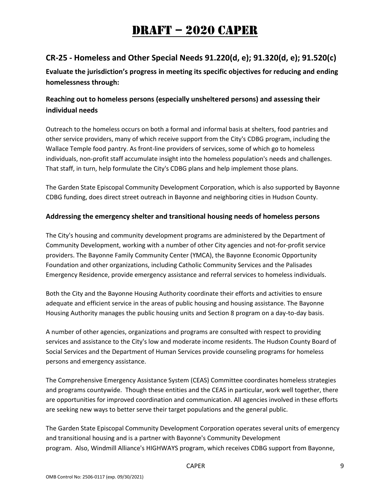## **CR-25 - Homeless and Other Special Needs 91.220(d, e); 91.320(d, e); 91.520(c)**

**Evaluate the jurisdiction's progress in meeting its specific objectives for reducing and ending homelessness through:**

## **Reaching out to homeless persons (especially unsheltered persons) and assessing their individual needs**

Outreach to the homeless occurs on both a formal and informal basis at shelters, food pantries and other service providers, many of which receive support from the City's CDBG program, including the Wallace Temple food pantry. As front-line providers of services, some of which go to homeless individuals, non-profit staff accumulate insight into the homeless population's needs and challenges. That staff, in turn, help formulate the City's CDBG plans and help implement those plans.

The Garden State Episcopal Community Development Corporation, which is also supported by Bayonne CDBG funding, does direct street outreach in Bayonne and neighboring cities in Hudson County.

### **Addressing the emergency shelter and transitional housing needs of homeless persons**

The City's housing and community development programs are administered by the Department of Community Development, working with a number of other City agencies and not-for-profit service providers. The Bayonne Family Community Center (YMCA), the Bayonne Economic Opportunity Foundation and other organizations, including Catholic Community Services and the Palisades Emergency Residence, provide emergency assistance and referral services to homeless individuals.

Both the City and the Bayonne Housing Authority coordinate their efforts and activities to ensure adequate and efficient service in the areas of public housing and housing assistance. The Bayonne Housing Authority manages the public housing units and Section 8 program on a day-to-day basis.

A number of other agencies, organizations and programs are consulted with respect to providing services and assistance to the City's low and moderate income residents. The Hudson County Board of Social Services and the Department of Human Services provide counseling programs for homeless persons and emergency assistance.

The Comprehensive Emergency Assistance System (CEAS) Committee coordinates homeless strategies and programs countywide. Though these entities and the CEAS in particular, work well together, there are opportunities for improved coordination and communication. All agencies involved in these efforts are seeking new ways to better serve their target populations and the general public.

The Garden State Episcopal Community Development Corporation operates several units of emergency and transitional housing and is a partner with Bayonne's Community Development program. Also, Windmill Alliance's HIGHWAYS program, which receives CDBG support from Bayonne,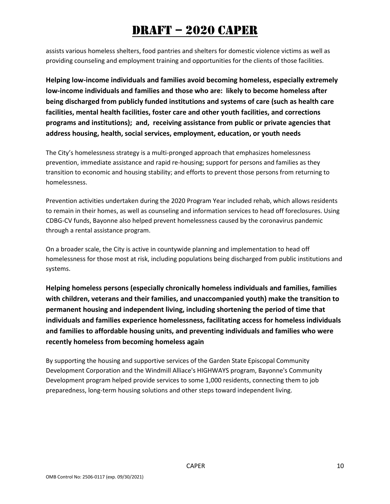assists various homeless shelters, food pantries and shelters for domestic violence victims as well as providing counseling and employment training and opportunities for the clients of those facilities.

**Helping low-income individuals and families avoid becoming homeless, especially extremely low-income individuals and families and those who are: likely to become homeless after being discharged from publicly funded institutions and systems of care (such as health care facilities, mental health facilities, foster care and other youth facilities, and corrections programs and institutions); and, receiving assistance from public or private agencies that address housing, health, social services, employment, education, or youth needs**

The City's homelessness strategy is a multi-pronged approach that emphasizes homelessness prevention, immediate assistance and rapid re-housing; support for persons and families as they transition to economic and housing stability; and efforts to prevent those persons from returning to homelessness.

Prevention activities undertaken during the 2020 Program Year included rehab, which allows residents to remain in their homes, as well as counseling and information services to head off foreclosures. Using CDBG-CV funds, Bayonne also helped prevent homelessness caused by the coronavirus pandemic through a rental assistance program.

On a broader scale, the City is active in countywide planning and implementation to head off homelessness for those most at risk, including populations being discharged from public institutions and systems.

**Helping homeless persons (especially chronically homeless individuals and families, families with children, veterans and their families, and unaccompanied youth) make the transition to permanent housing and independent living, including shortening the period of time that individuals and families experience homelessness, facilitating access for homeless individuals and families to affordable housing units, and preventing individuals and families who were recently homeless from becoming homeless again**

By supporting the housing and supportive services of the Garden State Episcopal Community Development Corporation and the Windmill Alliace's HIGHWAYS program, Bayonne's Community Development program helped provide services to some 1,000 residents, connecting them to job preparedness, long-term housing solutions and other steps toward independent living.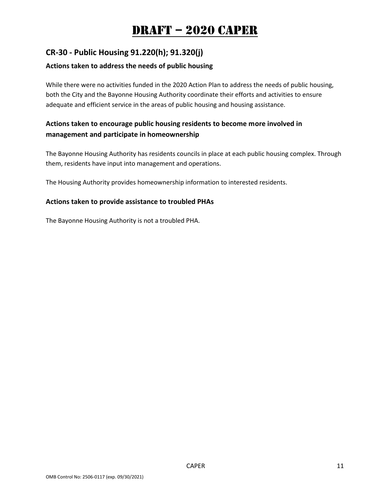## **CR-30 - Public Housing 91.220(h); 91.320(j)**

### **Actions taken to address the needs of public housing**

While there were no activities funded in the 2020 Action Plan to address the needs of public housing, both the City and the Bayonne Housing Authority coordinate their efforts and activities to ensure adequate and efficient service in the areas of public housing and housing assistance.

### **Actions taken to encourage public housing residents to become more involved in management and participate in homeownership**

The Bayonne Housing Authority has residents councils in place at each public housing complex. Through them, residents have input into management and operations.

The Housing Authority provides homeownership information to interested residents.

#### **Actions taken to provide assistance to troubled PHAs**

The Bayonne Housing Authority is not a troubled PHA.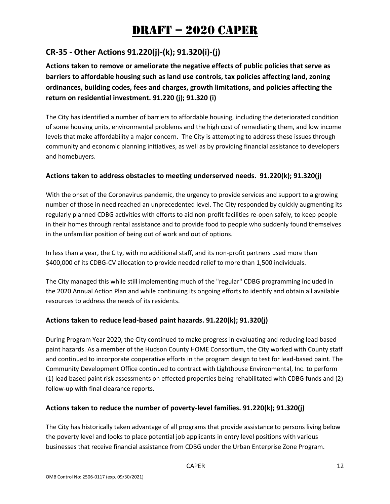## **CR-35 - Other Actions 91.220(j)-(k); 91.320(i)-(j)**

**Actions taken to remove or ameliorate the negative effects of public policies that serve as barriers to affordable housing such as land use controls, tax policies affecting land, zoning ordinances, building codes, fees and charges, growth limitations, and policies affecting the return on residential investment. 91.220 (j); 91.320 (i)**

The City has identified a number of barriers to affordable housing, including the deteriorated condition of some housing units, environmental problems and the high cost of remediating them, and low income levels that make affordability a major concern. The City is attempting to address these issues through community and economic planning initiatives, as well as by providing financial assistance to developers and homebuyers.

### **Actions taken to address obstacles to meeting underserved needs. 91.220(k); 91.320(j)**

With the onset of the Coronavirus pandemic, the urgency to provide services and support to a growing number of those in need reached an unprecedented level. The City responded by quickly augmenting its regularly planned CDBG activities with efforts to aid non-profit facilities re-open safely, to keep people in their homes through rental assistance and to provide food to people who suddenly found themselves in the unfamiliar position of being out of work and out of options.

In less than a year, the City, with no additional staff, and its non-profit partners used more than \$400,000 of its CDBG-CV allocation to provide needed relief to more than 1,500 individuals.

The City managed this while still implementing much of the "regular" CDBG programming included in the 2020 Annual Action Plan and while continuing its ongoing efforts to identify and obtain all available resources to address the needs of its residents.

#### **Actions taken to reduce lead-based paint hazards. 91.220(k); 91.320(j)**

During Program Year 2020, the City continued to make progress in evaluating and reducing lead based paint hazards. As a member of the Hudson County HOME Consortium, the City worked with County staff and continued to incorporate cooperative efforts in the program design to test for lead-based paint. The Community Development Office continued to contract with Lighthouse Environmental, Inc. to perform (1) lead based paint risk assessments on effected properties being rehabilitated with CDBG funds and (2) follow-up with final clearance reports.

### **Actions taken to reduce the number of poverty-level families. 91.220(k); 91.320(j)**

The City has historically taken advantage of all programs that provide assistance to persons living below the poverty level and looks to place potential job applicants in entry level positions with various businesses that receive financial assistance from CDBG under the Urban Enterprise Zone Program.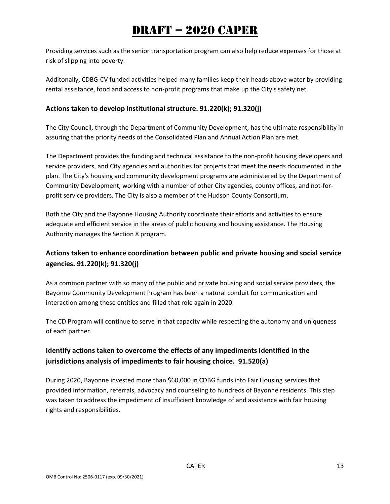Providing services such as the senior transportation program can also help reduce expenses for those at risk of slipping into poverty.

Additonally, CDBG-CV funded activities helped many families keep their heads above water by providing rental assistance, food and access to non-profit programs that make up the City's safety net.

### **Actions taken to develop institutional structure. 91.220(k); 91.320(j)**

The City Council, through the Department of Community Development, has the ultimate responsibility in assuring that the priority needs of the Consolidated Plan and Annual Action Plan are met.

The Department provides the funding and technical assistance to the non-profit housing developers and service providers, and City agencies and authorities for projects that meet the needs documented in the plan. The City's housing and community development programs are administered by the Department of Community Development, working with a number of other City agencies, county offices, and not-forprofit service providers. The City is also a member of the Hudson County Consortium.

Both the City and the Bayonne Housing Authority coordinate their efforts and activities to ensure adequate and efficient service in the areas of public housing and housing assistance. The Housing Authority manages the Section 8 program.

## **Actions taken to enhance coordination between public and private housing and social service agencies. 91.220(k); 91.320(j)**

As a common partner with so many of the public and private housing and social service providers, the Bayonne Community Development Program has been a natural conduit for communication and interaction among these entities and filled that role again in 2020.

The CD Program will continue to serve in that capacity while respecting the autonomy and uniqueness of each partner.

### **Identify actions taken to overcome the effects of any impediments identified in the jurisdictions analysis of impediments to fair housing choice. 91.520(a)**

During 2020, Bayonne invested more than \$60,000 in CDBG funds into Fair Housing services that provided information, referrals, advocacy and counseling to hundreds of Bayonne residents. This step was taken to address the impediment of insufficient knowledge of and assistance with fair housing rights and responsibilities.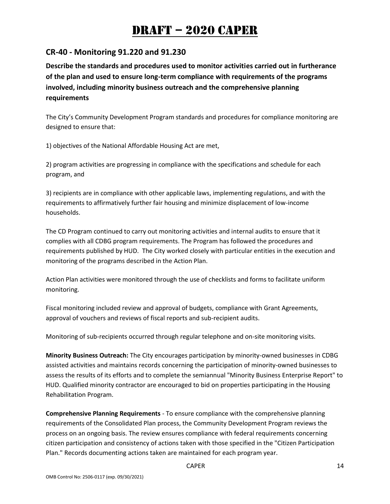### **CR-40 - Monitoring 91.220 and 91.230**

**Describe the standards and procedures used to monitor activities carried out in furtherance of the plan and used to ensure long-term compliance with requirements of the programs involved, including minority business outreach and the comprehensive planning requirements**

The City's Community Development Program standards and procedures for compliance monitoring are designed to ensure that:

1) objectives of the National Affordable Housing Act are met,

2) program activities are progressing in compliance with the specifications and schedule for each program, and

3) recipients are in compliance with other applicable laws, implementing regulations, and with the requirements to affirmatively further fair housing and minimize displacement of low-income households.

The CD Program continued to carry out monitoring activities and internal audits to ensure that it complies with all CDBG program requirements. The Program has followed the procedures and requirements published by HUD. The City worked closely with particular entities in the execution and monitoring of the programs described in the Action Plan.

Action Plan activities were monitored through the use of checklists and forms to facilitate uniform monitoring.

Fiscal monitoring included review and approval of budgets, compliance with Grant Agreements, approval of vouchers and reviews of fiscal reports and sub-recipient audits.

Monitoring of sub-recipients occurred through regular telephone and on-site monitoring visits.

**Minority Business Outreach:** The City encourages participation by minority-owned businesses in CDBG assisted activities and maintains records concerning the participation of minority-owned businesses to assess the results of its efforts and to complete the semiannual "Minority Business Enterprise Report" to HUD. Qualified minority contractor are encouraged to bid on properties participating in the Housing Rehabilitation Program.

**Comprehensive Planning Requirements** - To ensure compliance with the comprehensive planning requirements of the Consolidated Plan process, the Community Development Program reviews the process on an ongoing basis. The review ensures compliance with federal requirements concerning citizen participation and consistency of actions taken with those specified in the "Citizen Participation Plan." Records documenting actions taken are maintained for each program year.